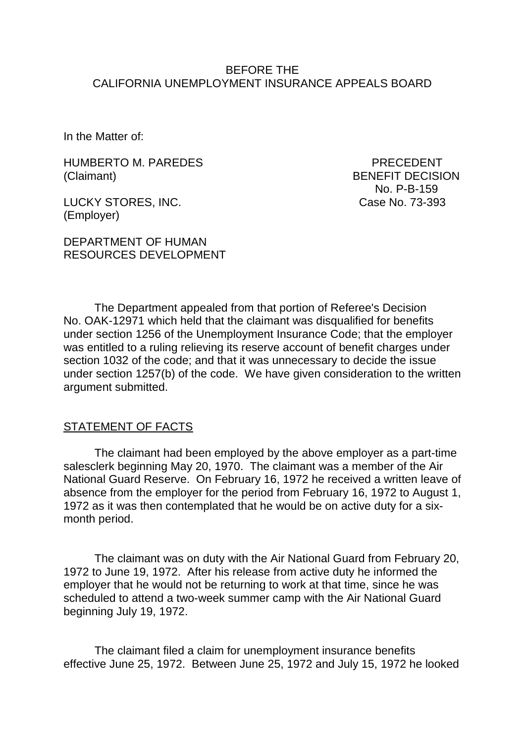### BEFORE THE CALIFORNIA UNEMPLOYMENT INSURANCE APPEALS BOARD

In the Matter of:

HUMBERTO M. PAREDES PRECEDENT (Claimant) BENEFIT DECISION

LUCKY STORES, INC. Case No. 73-393 (Employer)

DEPARTMENT OF HUMAN RESOURCES DEVELOPMENT No. P-B-159

The Department appealed from that portion of Referee's Decision No. OAK-12971 which held that the claimant was disqualified for benefits under section 1256 of the Unemployment Insurance Code; that the employer was entitled to a ruling relieving its reserve account of benefit charges under section 1032 of the code; and that it was unnecessary to decide the issue under section 1257(b) of the code. We have given consideration to the written argument submitted.

#### STATEMENT OF FACTS

The claimant had been employed by the above employer as a part-time salesclerk beginning May 20, 1970. The claimant was a member of the Air National Guard Reserve. On February 16, 1972 he received a written leave of absence from the employer for the period from February 16, 1972 to August 1, 1972 as it was then contemplated that he would be on active duty for a sixmonth period.

The claimant was on duty with the Air National Guard from February 20, 1972 to June 19, 1972. After his release from active duty he informed the employer that he would not be returning to work at that time, since he was scheduled to attend a two-week summer camp with the Air National Guard beginning July 19, 1972.

The claimant filed a claim for unemployment insurance benefits effective June 25, 1972. Between June 25, 1972 and July 15, 1972 he looked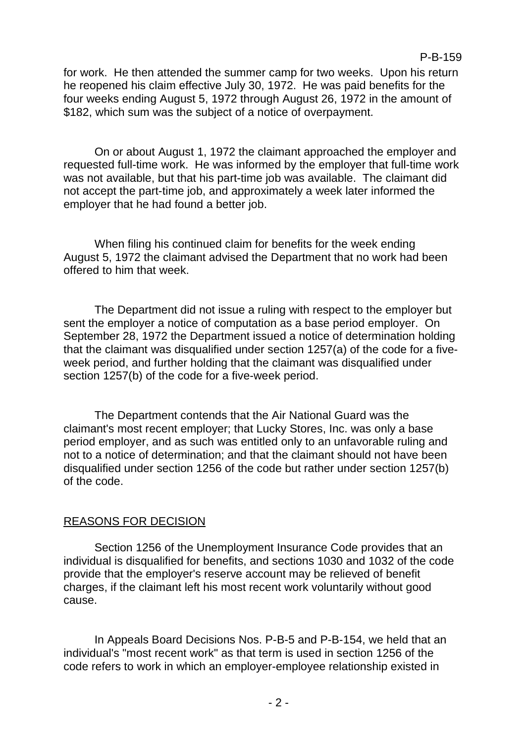for work. He then attended the summer camp for two weeks. Upon his return he reopened his claim effective July 30, 1972. He was paid benefits for the four weeks ending August 5, 1972 through August 26, 1972 in the amount of \$182, which sum was the subject of a notice of overpayment.

On or about August 1, 1972 the claimant approached the employer and requested full-time work. He was informed by the employer that full-time work was not available, but that his part-time job was available. The claimant did not accept the part-time job, and approximately a week later informed the employer that he had found a better job.

When filing his continued claim for benefits for the week ending August 5, 1972 the claimant advised the Department that no work had been offered to him that week.

The Department did not issue a ruling with respect to the employer but sent the employer a notice of computation as a base period employer. On September 28, 1972 the Department issued a notice of determination holding that the claimant was disqualified under section 1257(a) of the code for a fiveweek period, and further holding that the claimant was disqualified under section 1257(b) of the code for a five-week period.

The Department contends that the Air National Guard was the claimant's most recent employer; that Lucky Stores, Inc. was only a base period employer, and as such was entitled only to an unfavorable ruling and not to a notice of determination; and that the claimant should not have been disqualified under section 1256 of the code but rather under section 1257(b) of the code.

## REASONS FOR DECISION

Section 1256 of the Unemployment Insurance Code provides that an individual is disqualified for benefits, and sections 1030 and 1032 of the code provide that the employer's reserve account may be relieved of benefit charges, if the claimant left his most recent work voluntarily without good cause.

In Appeals Board Decisions Nos. P-B-5 and P-B-154, we held that an individual's "most recent work" as that term is used in section 1256 of the code refers to work in which an employer-employee relationship existed in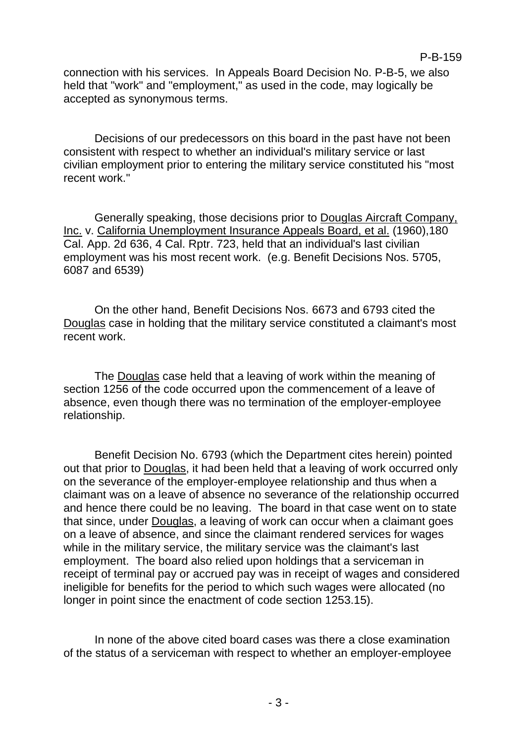connection with his services. In Appeals Board Decision No. P-B-5, we also held that "work" and "employment." as used in the code, may logically be accepted as synonymous terms.

Decisions of our predecessors on this board in the past have not been consistent with respect to whether an individual's military service or last civilian employment prior to entering the military service constituted his "most recent work."

Generally speaking, those decisions prior to Douglas Aircraft Company, Inc. v. California Unemployment Insurance Appeals Board, et al. (1960), 180 Cal. App. 2d 636, 4 Cal. Rptr. 723, held that an individual's last civilian employment was his most recent work. (e.g. Benefit Decisions Nos. 5705, 6087 and 6539)

On the other hand, Benefit Decisions Nos. 6673 and 6793 cited the Douglas case in holding that the military service constituted a claimant's most recent work.

The Douglas case held that a leaving of work within the meaning of section 1256 of the code occurred upon the commencement of a leave of absence, even though there was no termination of the employer-employee relationship.

Benefit Decision No. 6793 (which the Department cites herein) pointed out that prior to Douglas, it had been held that a leaving of work occurred only on the severance of the employer-employee relationship and thus when a claimant was on a leave of absence no severance of the relationship occurred and hence there could be no leaving. The board in that case went on to state that since, under Douglas, a leaving of work can occur when a claimant goes on a leave of absence, and since the claimant rendered services for wages while in the military service, the military service was the claimant's last employment. The board also relied upon holdings that a serviceman in receipt of terminal pay or accrued pay was in receipt of wages and considered ineligible for benefits for the period to which such wages were allocated (no longer in point since the enactment of code section 1253.15).

In none of the above cited board cases was there a close examination of the status of a serviceman with respect to whether an employer-employee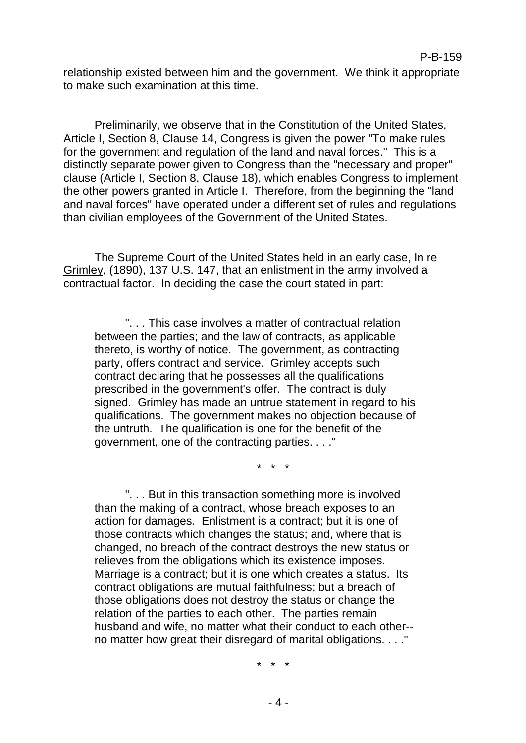relationship existed between him and the government. We think it appropriate to make such examination at this time.

Preliminarily, we observe that in the Constitution of the United States, Article I, Section 8, Clause 14, Congress is given the power "To make rules for the government and regulation of the land and naval forces." This is a distinctly separate power given to Congress than the "necessary and proper" clause (Article I, Section 8, Clause 18), which enables Congress to implement the other powers granted in Article I. Therefore, from the beginning the "land and naval forces" have operated under a different set of rules and regulations than civilian employees of the Government of the United States.

The Supreme Court of the United States held in an early case, In re Grimley, (1890), 137 U.S. 147, that an enlistment in the army involved a contractual factor. In deciding the case the court stated in part:

". . . This case involves a matter of contractual relation between the parties; and the law of contracts, as applicable thereto, is worthy of notice. The government, as contracting party, offers contract and service. Grimley accepts such contract declaring that he possesses all the qualifications prescribed in the government's offer. The contract is duly signed. Grimley has made an untrue statement in regard to his qualifications. The government makes no objection because of the untruth. The qualification is one for the benefit of the government, one of the contracting parties. . . ."

\* \* \*

". . . But in this transaction something more is involved than the making of a contract, whose breach exposes to an action for damages. Enlistment is a contract; but it is one of those contracts which changes the status; and, where that is changed, no breach of the contract destroys the new status or relieves from the obligations which its existence imposes. Marriage is a contract; but it is one which creates a status. Its contract obligations are mutual faithfulness; but a breach of those obligations does not destroy the status or change the relation of the parties to each other. The parties remain husband and wife, no matter what their conduct to each other- no matter how great their disregard of marital obligations. . . ."

\* \* \*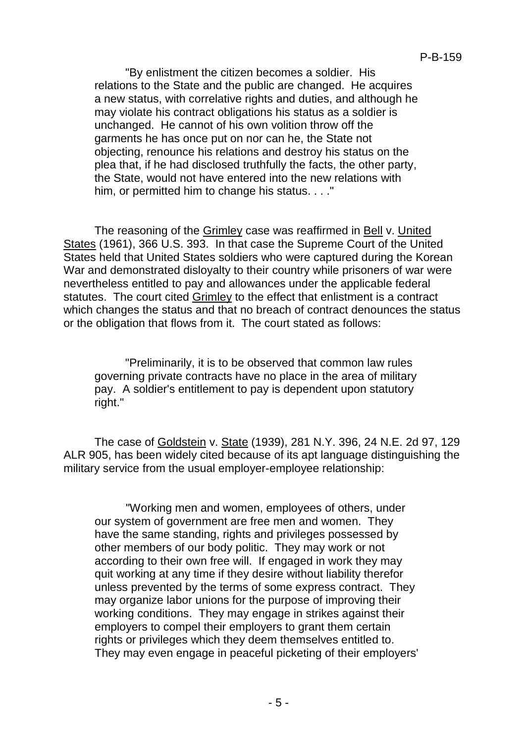"By enlistment the citizen becomes a soldier. His relations to the State and the public are changed. He acquires a new status, with correlative rights and duties, and although he may violate his contract obligations his status as a soldier is unchanged. He cannot of his own volition throw off the garments he has once put on nor can he, the State not objecting, renounce his relations and destroy his status on the plea that, if he had disclosed truthfully the facts, the other party, the State, would not have entered into the new relations with him, or permitted him to change his status. . . ."

The reasoning of the Grimley case was reaffirmed in Bell v. United States (1961), 366 U.S. 393. In that case the Supreme Court of the United States held that United States soldiers who were captured during the Korean War and demonstrated disloyalty to their country while prisoners of war were nevertheless entitled to pay and allowances under the applicable federal statutes. The court cited Grimley to the effect that enlistment is a contract which changes the status and that no breach of contract denounces the status or the obligation that flows from it. The court stated as follows:

"Preliminarily, it is to be observed that common law rules governing private contracts have no place in the area of military pay. A soldier's entitlement to pay is dependent upon statutory right."

The case of Goldstein v. State (1939), 281 N.Y. 396, 24 N.E. 2d 97, 129 ALR 905, has been widely cited because of its apt language distinguishing the military service from the usual employer-employee relationship:

"Working men and women, employees of others, under our system of government are free men and women. They have the same standing, rights and privileges possessed by other members of our body politic. They may work or not according to their own free will. If engaged in work they may quit working at any time if they desire without liability therefor unless prevented by the terms of some express contract. They may organize labor unions for the purpose of improving their working conditions. They may engage in strikes against their employers to compel their employers to grant them certain rights or privileges which they deem themselves entitled to. They may even engage in peaceful picketing of their employers'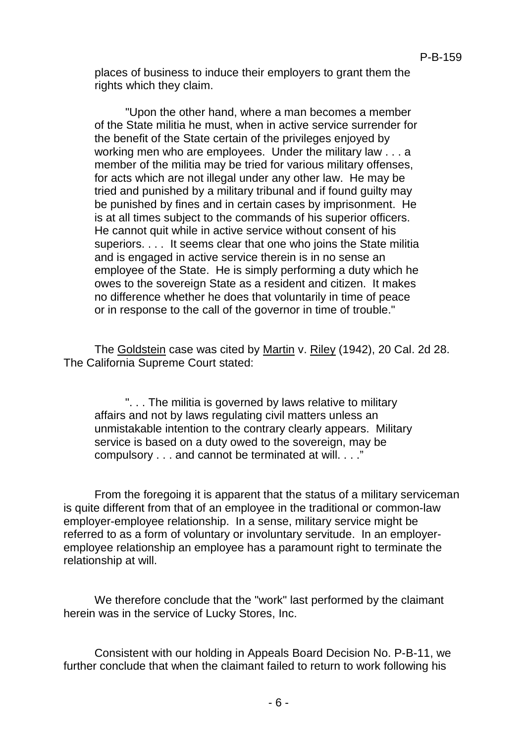places of business to induce their employers to grant them the rights which they claim.

"Upon the other hand, where a man becomes a member of the State militia he must, when in active service surrender for the benefit of the State certain of the privileges enjoyed by working men who are employees. Under the military law . . . a member of the militia may be tried for various military offenses, for acts which are not illegal under any other law. He may be tried and punished by a military tribunal and if found guilty may be punished by fines and in certain cases by imprisonment. He is at all times subject to the commands of his superior officers. He cannot quit while in active service without consent of his superiors. . . . It seems clear that one who joins the State militia and is engaged in active service therein is in no sense an employee of the State. He is simply performing a duty which he owes to the sovereign State as a resident and citizen. It makes no difference whether he does that voluntarily in time of peace or in response to the call of the governor in time of trouble."

The Goldstein case was cited by Martin v. Riley (1942), 20 Cal. 2d 28. The California Supreme Court stated:

". . . The militia is governed by laws relative to military affairs and not by laws regulating civil matters unless an unmistakable intention to the contrary clearly appears. Military service is based on a duty owed to the sovereign, may be compulsory . . . and cannot be terminated at will. . . ."

From the foregoing it is apparent that the status of a military serviceman is quite different from that of an employee in the traditional or common-law employer-employee relationship. In a sense, military service might be referred to as a form of voluntary or involuntary servitude. In an employeremployee relationship an employee has a paramount right to terminate the relationship at will.

We therefore conclude that the "work" last performed by the claimant herein was in the service of Lucky Stores, Inc.

Consistent with our holding in Appeals Board Decision No. P-B-11, we further conclude that when the claimant failed to return to work following his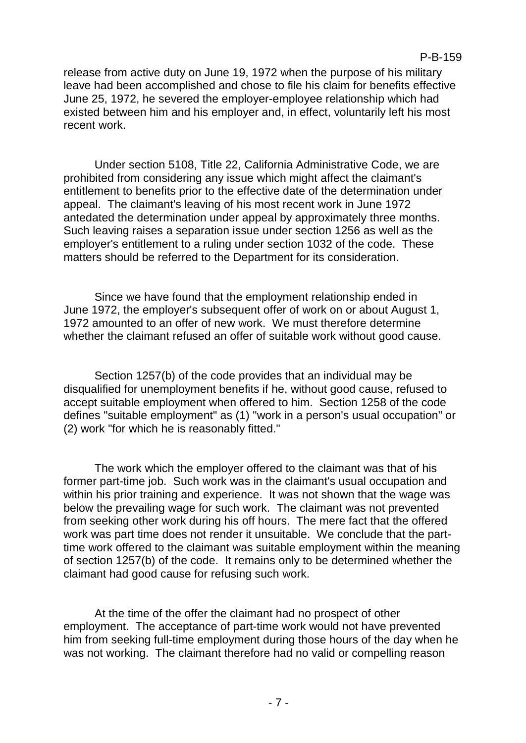release from active duty on June 19, 1972 when the purpose of his military leave had been accomplished and chose to file his claim for benefits effective June 25, 1972, he severed the employer-employee relationship which had existed between him and his employer and, in effect, voluntarily left his most recent work.

Under section 5108, Title 22, California Administrative Code, we are prohibited from considering any issue which might affect the claimant's entitlement to benefits prior to the effective date of the determination under appeal. The claimant's leaving of his most recent work in June 1972 antedated the determination under appeal by approximately three months. Such leaving raises a separation issue under section 1256 as well as the employer's entitlement to a ruling under section 1032 of the code. These matters should be referred to the Department for its consideration.

Since we have found that the employment relationship ended in June 1972, the employer's subsequent offer of work on or about August 1, 1972 amounted to an offer of new work. We must therefore determine whether the claimant refused an offer of suitable work without good cause.

Section 1257(b) of the code provides that an individual may be disqualified for unemployment benefits if he, without good cause, refused to accept suitable employment when offered to him. Section 1258 of the code defines "suitable employment" as (1) "work in a person's usual occupation" or (2) work "for which he is reasonably fitted."

The work which the employer offered to the claimant was that of his former part-time job. Such work was in the claimant's usual occupation and within his prior training and experience. It was not shown that the wage was below the prevailing wage for such work. The claimant was not prevented from seeking other work during his off hours. The mere fact that the offered work was part time does not render it unsuitable. We conclude that the parttime work offered to the claimant was suitable employment within the meaning of section 1257(b) of the code. It remains only to be determined whether the claimant had good cause for refusing such work.

At the time of the offer the claimant had no prospect of other employment. The acceptance of part-time work would not have prevented him from seeking full-time employment during those hours of the day when he was not working. The claimant therefore had no valid or compelling reason